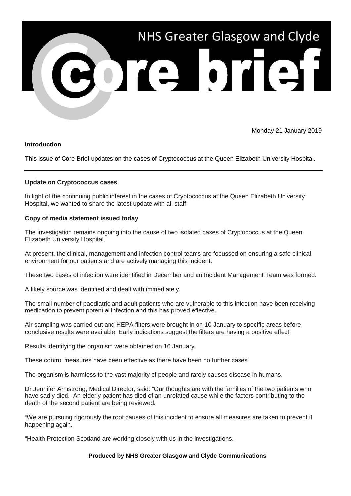

Monday 21 January 2019

## **Introduction**

This issue of Core Brief updates on the cases of Cryptococcus at the Queen Elizabeth University Hospital.

## **Update on Cryptococcus cases**

In light of the continuing public interest in the cases of Cryptococcus at the Queen Elizabeth University Hospital, we wanted to share the latest update with all staff.

## **Copy of media statement issued today**

The investigation remains ongoing into the cause of two isolated cases of Cryptococcus at the Queen Elizabeth University Hospital.

At present, the clinical, management and infection control teams are focussed on ensuring a safe clinical environment for our patients and are actively managing this incident.

These two cases of infection were identified in December and an Incident Management Team was formed.

A likely source was identified and dealt with immediately.

The small number of paediatric and adult patients who are vulnerable to this infection have been receiving medication to prevent potential infection and this has proved effective.

Air sampling was carried out and HEPA filters were brought in on 10 January to specific areas before conclusive results were available. Early indications suggest the filters are having a positive effect.

Results identifying the organism were obtained on 16 January.

These control measures have been effective as there have been no further cases.

The organism is harmless to the vast majority of people and rarely causes disease in humans.

Dr Jennifer Armstrong, Medical Director, said: "Our thoughts are with the families of the two patients who have sadly died. An elderly patient has died of an unrelated cause while the factors contributing to the death of the second patient are being reviewed.

"We are pursuing rigorously the root causes of this incident to ensure all measures are taken to prevent it happening again.

"Health Protection Scotland are working closely with us in the investigations.

## **Produced by NHS Greater Glasgow and Clyde Communications**